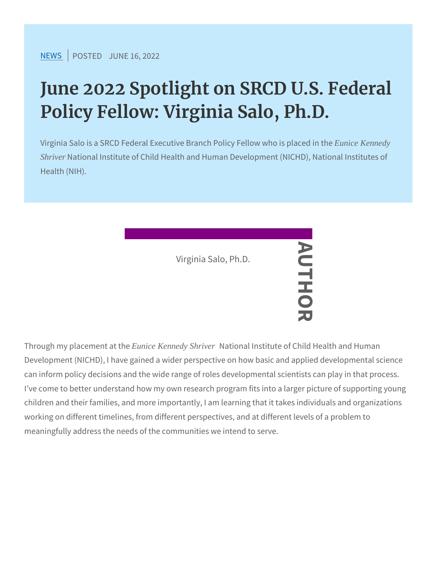## June 2022 Spotlight on SRCD U. Policy Fellow: Virginia Salo, Ph.

Virginia Salo is a SRCD Federal Executive Bran Eunice Kennedy Fellow Shriver National Institute of Child Health and Human Development ( Health (NIH).

Virginia Salo, Ph.D. AUTHOR

Through my place Enueicet Kentnetdy Shrive National Institute of Child Health a Development (NICHD), I have gained a wider the rspective on how based and applied applied application of the application of the application of the Development (NICHD), I have gained a wider the rspective on how ba can inform policy decisions and the wide range of roles developmer I ve come to better understand how my own research program fits in children and their families, and more importantly, I am learning tha working on different timelines, from different perspectives, and at meaningfully address the needs of the communities we intend to se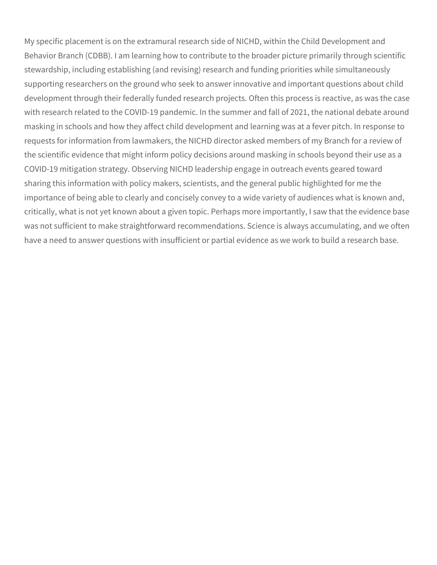My specific placement is on the extramural research side of NICHD, within the Child Development and Behavior Branch (CDBB). I am learning how to contribute to the broader picture primarily through scientific stewardship, including establishing (and revising) research and funding priorities while simultaneously supporting researchers on the ground who seek to answer innovative and important questions about child development through their federally funded research projects. Often this process is reactive, as was the case with research related to the COVID-19 pandemic. In the summer and fall of 2021, the national debate around masking in schools and how they affect child development and learning was at a fever pitch. In response to requests for information from lawmakers, the NICHD director asked members of my Branch for a review of the scientific evidence that might inform policy decisions around masking in schools beyond their use as a COVID-19 mitigation strategy. Observing NICHD leadership engage in outreach events geared toward sharing this information with policy makers, scientists, and the general public highlighted for me the importance of being able to clearly and concisely convey to a wide variety of audiences what is known and, critically, what is not yet known about a given topic. Perhaps more importantly, I saw that the evidence base was not sufficient to make straightforward recommendations. Science is always accumulating, and we often have a need to answer questions with insufficient or partial evidence as we work to build a research base.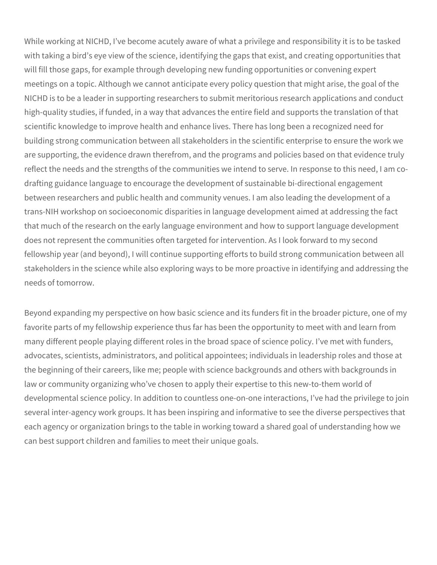While working at NICHD, I've become acutely aware of what a privilege and responsibility it is to be tasked with taking a bird's eye view of the science, identifying the gaps that exist, and creating opportunities that will fill those gaps, for example through developing new funding opportunities or convening expert meetings on a topic. Although we cannot anticipate every policy question that might arise, the goal of the NICHD is to be a leader in supporting researchers to submit meritorious research applications and conduct high-quality studies, if funded, in a way that advances the entire field and supports the translation of that scientific knowledge to improve health and enhance lives. There has long been a recognized need for building strong communication between all stakeholders in the scientific enterprise to ensure the work we are supporting, the evidence drawn therefrom, and the programs and policies based on that evidence truly reflect the needs and the strengths of the communities we intend to serve. In response to this need, I am codrafting guidance language to encourage the development of sustainable bi-directional engagement between researchers and public health and community venues. I am also leading the development of a trans-NIH workshop on socioeconomic disparities in language development aimed at addressing the fact that much of the research on the early language environment and how to support language development does not represent the communities often targeted for intervention. As I look forward to my second fellowship year (and beyond), I will continue supporting efforts to build strong communication between all stakeholders in the science while also exploring ways to be more proactive in identifying and addressing the needs of tomorrow.

Beyond expanding my perspective on how basic science and its funders fit in the broader picture, one of my favorite parts of my fellowship experience thus far has been the opportunity to meet with and learn from many different people playing different roles in the broad space of science policy. I've met with funders, advocates, scientists, administrators, and political appointees; individuals in leadership roles and those at the beginning of their careers, like me; people with science backgrounds and others with backgrounds in law or community organizing who've chosen to apply their expertise to this new-to-them world of developmental science policy. In addition to countless one-on-one interactions, I've had the privilege to join several inter-agency work groups. It has been inspiring and informative to see the diverse perspectives that each agency or organization brings to the table in working toward a shared goal of understanding how we can best support children and families to meet their unique goals.